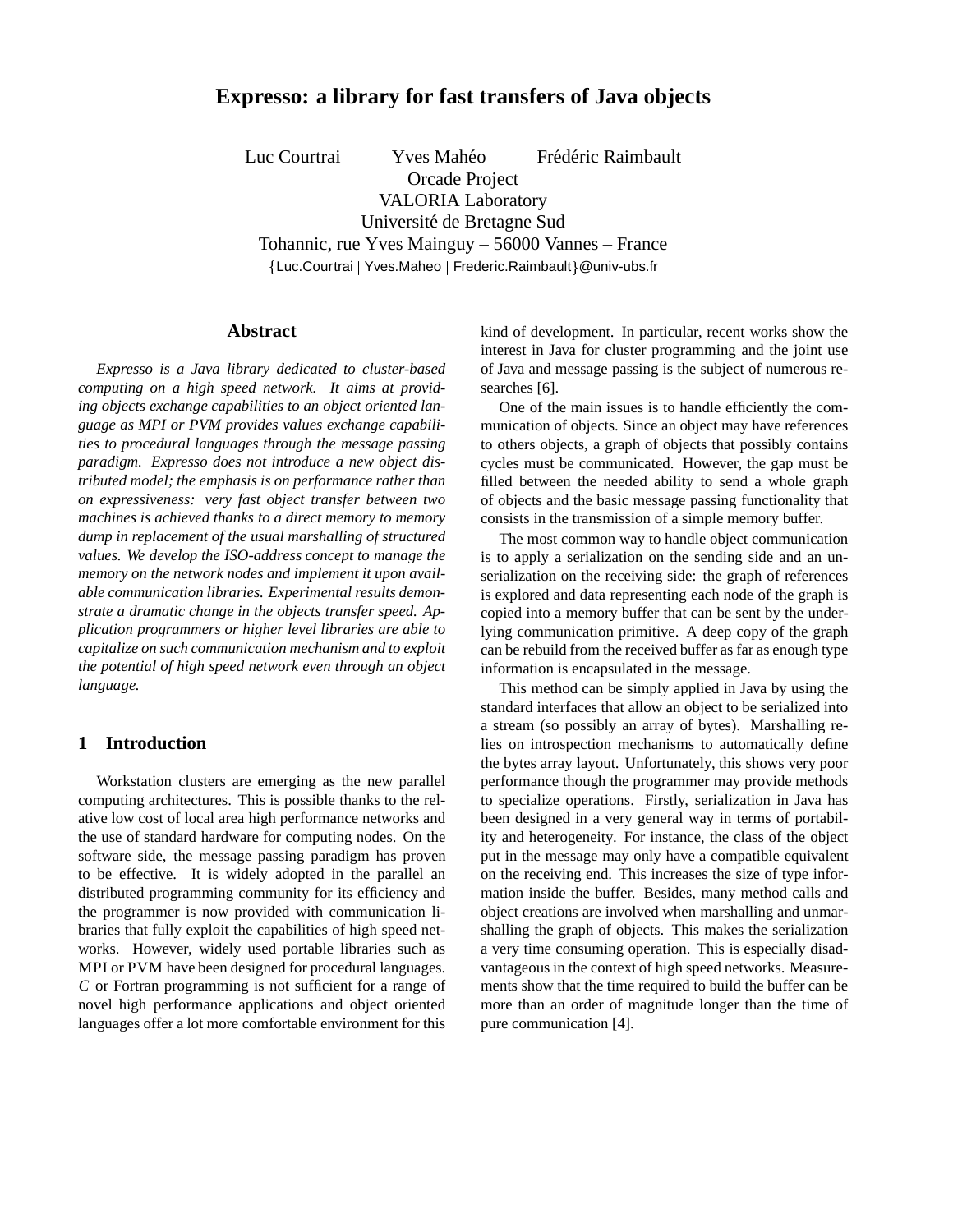# **Expresso: a library for fast transfers of Java objects**

Luc Courtrai Yves Mahéo Frédéric Raimbault Orcade Project

VALORIA Laboratory

Université de Bretagne Sud Tohannic, rue Yves Mainguy – 56000 Vannes – France

{Luc.Courtrai | Yves.Maheo | Frederic.Raimbault}@univ-ubs.fr

# **Abstract**

*Expresso is a Java library dedicated to cluster-based computing on a high speed network. It aims at providing objects exchange capabilities to an object oriented language as MPI or PVM provides values exchange capabilities to procedural languages through the message passing paradigm. Expresso does not introduce a new object distributed model; the emphasis is on performance rather than on expressiveness: very fast object transfer between two machines is achieved thanks to a direct memory to memory dump in replacement of the usual marshalling of structured values. We develop the ISO-address concept to manage the memory on the network nodes and implement it upon available communication libraries. Experimental results demonstrate a dramatic change in the objects transfer speed. Application programmers or higher level libraries are able to capitalize on such communication mechanism and to exploit the potential of high speed network even through an object language.*

# **1 Introduction**

Workstation clusters are emerging as the new parallel computing architectures. This is possible thanks to the relative low cost of local area high performance networks and the use of standard hardware for computing nodes. On the software side, the message passing paradigm has proven to be effective. It is widely adopted in the parallel an distributed programming community for its efficiency and the programmer is now provided with communication libraries that fully exploit the capabilities of high speed networks. However, widely used portable libraries such as MPI or PVM have been designed for procedural languages. <sup>C</sup> or Fortran programming is not sufficient for a range of novel high performance applications and object oriented languages offer a lot more comfortable environment for this

kind of development. In particular, recent works show the interest in Java for cluster programming and the joint use of Java and message passing is the subject of numerous researches [6].

One of the main issues is to handle efficiently the communication of objects. Since an object may have references to others objects, a graph of objects that possibly contains cycles must be communicated. However, the gap must be filled between the needed ability to send a whole graph of objects and the basic message passing functionality that consists in the transmission of a simple memory buffer.

The most common way to handle object communication is to apply a serialization on the sending side and an unserialization on the receiving side: the graph of references is explored and data representing each node of the graph is copied into a memory buffer that can be sent by the underlying communication primitive. A deep copy of the graph can be rebuild from the received buffer as far as enough type information is encapsulated in the message.

This method can be simply applied in Java by using the standard interfaces that allow an object to be serialized into a stream (so possibly an array of bytes). Marshalling relies on introspection mechanisms to automatically define the bytes array layout. Unfortunately, this shows very poor performance though the programmer may provide methods to specialize operations. Firstly, serialization in Java has been designed in a very general way in terms of portability and heterogeneity. For instance, the class of the object put in the message may only have a compatible equivalent on the receiving end. This increases the size of type information inside the buffer. Besides, many method calls and object creations are involved when marshalling and unmarshalling the graph of objects. This makes the serialization a very time consuming operation. This is especially disadvantageous in the context of high speed networks. Measurements show that the time required to build the buffer can be more than an order of magnitude longer than the time of pure communication [4].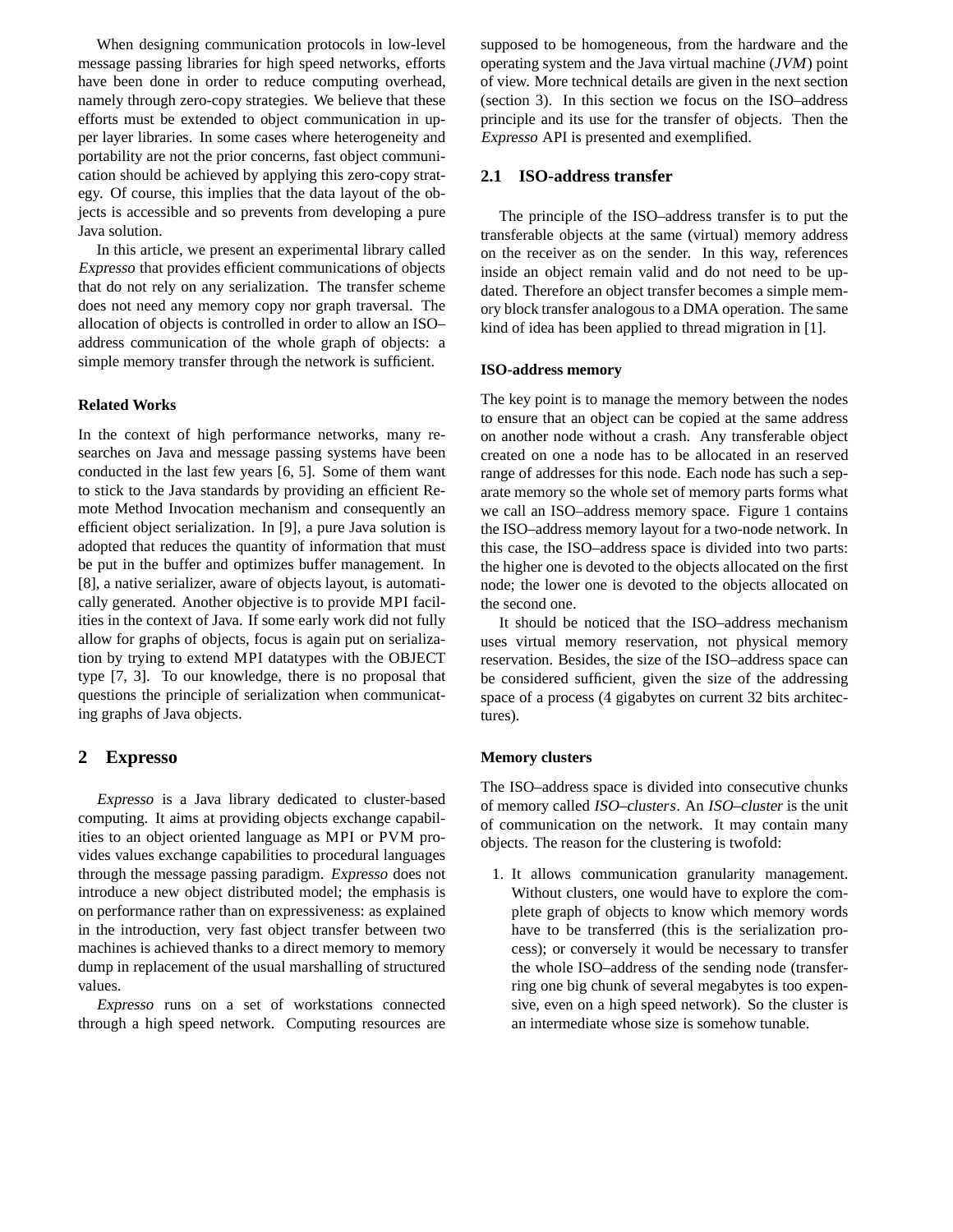When designing communication protocols in low-level message passing libraries for high speed networks, efforts have been done in order to reduce computing overhead, namely through zero-copy strategies. We believe that these efforts must be extended to object communication in upper layer libraries. In some cases where heterogeneity and portability are not the prior concerns, fast object communication should be achieved by applying this zero-copy strategy. Of course, this implies that the data layout of the objects is accessible and so prevents from developing a pure Java solution.

In this article, we present an experimental library called Expresso that provides efficient communications of objects that do not rely on any serialization. The transfer scheme does not need any memory copy nor graph traversal. The allocation of objects is controlled in order to allow an ISO– address communication of the whole graph of objects: a simple memory transfer through the network is sufficient.

#### **Related Works**

In the context of high performance networks, many researches on Java and message passing systems have been conducted in the last few years [6, 5]. Some of them want to stick to the Java standards by providing an efficient Remote Method Invocation mechanism and consequently an efficient object serialization. In [9], a pure Java solution is adopted that reduces the quantity of information that must be put in the buffer and optimizes buffer management. In [8], a native serializer, aware of objects layout, is automatically generated. Another objective is to provide MPI facilities in the context of Java. If some early work did not fully allow for graphs of objects, focus is again put on serialization by trying to extend MPI datatypes with the OBJECT type [7, 3]. To our knowledge, there is no proposal that questions the principle of serialization when communicating graphs of Java objects.

## **2 Expresso**

Expresso is a Java library dedicated to cluster-based computing. It aims at providing objects exchange capabilities to an object oriented language as MPI or PVM provides values exchange capabilities to procedural languages through the message passing paradigm. Expresso does not introduce a new object distributed model; the emphasis is on performance rather than on expressiveness: as explained in the introduction, very fast object transfer between two machines is achieved thanks to a direct memory to memory dump in replacement of the usual marshalling of structured values.

Expresso runs on a set of workstations connected through a high speed network. Computing resources are

supposed to be homogeneous, from the hardware and the operating system and the Java virtual machine (JVM) point of view. More technical details are given in the next section (section 3). In this section we focus on the ISO–address principle and its use for the transfer of objects. Then the Expresso API is presented and exemplified.

## **2.1 ISO-address transfer**

The principle of the ISO–address transfer is to put the transferable objects at the same (virtual) memory address on the receiver as on the sender. In this way, references inside an object remain valid and do not need to be updated. Therefore an object transfer becomes a simple memory block transfer analogous to a DMA operation. The same kind of idea has been applied to thread migration in [1].

#### **ISO-address memory**

The key point is to manage the memory between the nodes to ensure that an object can be copied at the same address on another node without a crash. Any transferable object created on one a node has to be allocated in an reserved range of addresses for this node. Each node has such a separate memory so the whole set of memory parts forms what we call an ISO–address memory space. Figure 1 contains the ISO–address memory layout for a two-node network. In this case, the ISO–address space is divided into two parts: the higher one is devoted to the objects allocated on the first node; the lower one is devoted to the objects allocated on the second one.

It should be noticed that the ISO–address mechanism uses virtual memory reservation, not physical memory reservation. Besides, the size of the ISO–address space can be considered sufficient, given the size of the addressing space of a process (4 gigabytes on current 32 bits architectures).

#### **Memory clusters**

The ISO–address space is divided into consecutive chunks of memory called ISO–clusters. An ISO–cluster is the unit of communication on the network. It may contain many objects. The reason for the clustering is twofold:

1. It allows communication granularity management. Without clusters, one would have to explore the complete graph of objects to know which memory words have to be transferred (this is the serialization process); or conversely it would be necessary to transfer the whole ISO–address of the sending node (transferring one big chunk of several megabytes is too expensive, even on a high speed network). So the cluster is an intermediate whose size is somehow tunable.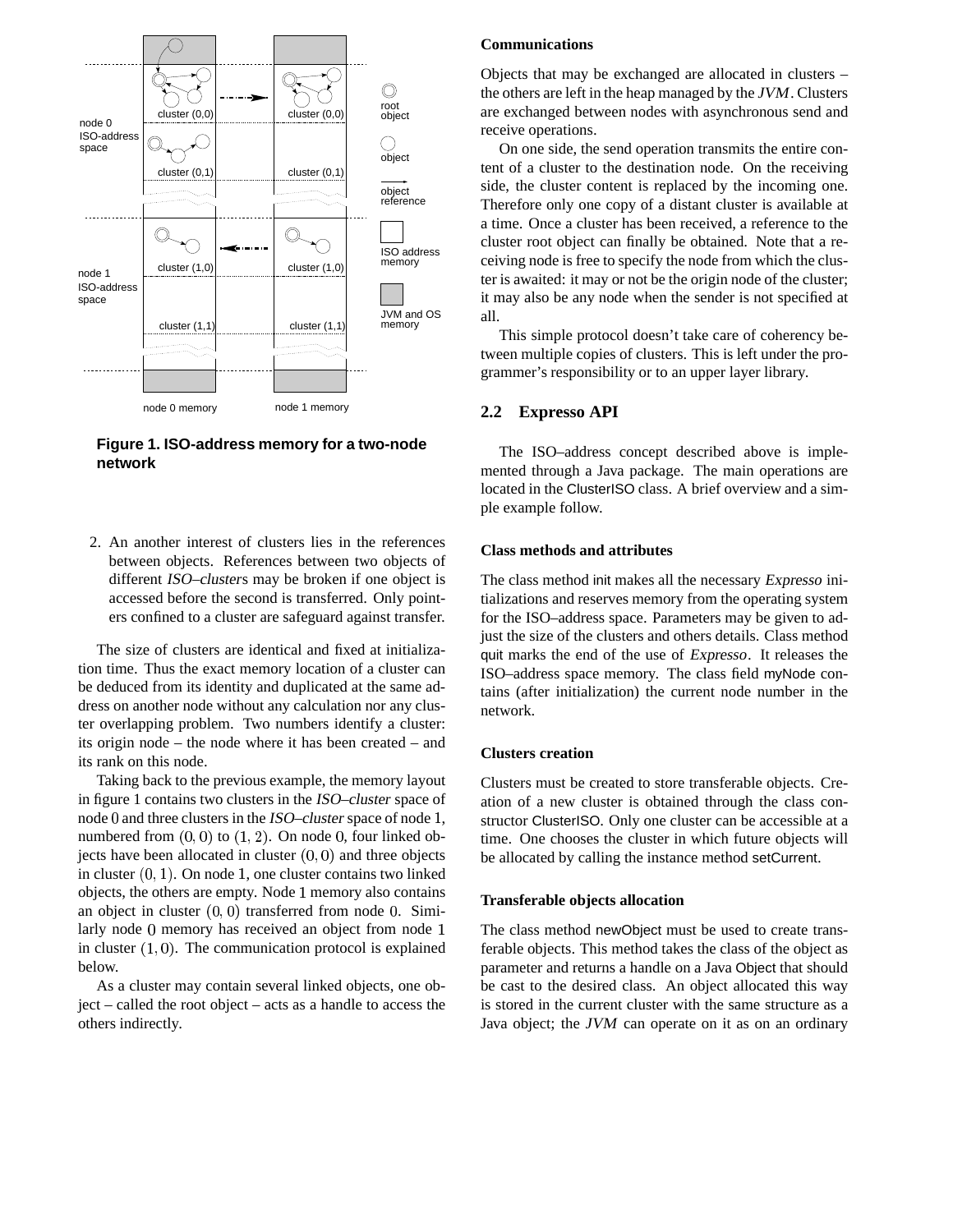

**Figure 1. ISO-address memory for a two-node network**

2. An another interest of clusters lies in the references between objects. References between two objects of different ISO–clusters may be broken if one object is accessed before the second is transferred. Only pointers confined to a cluster are safeguard against transfer.

The size of clusters are identical and fixed at initialization time. Thus the exact memory location of a cluster can be deduced from its identity and duplicated at the same address on another node without any calculation nor any cluster overlapping problem. Two numbers identify a cluster: its origin node – the node where it has been created – and its rank on this node.

Taking back to the previous example, the memory layout in figure 1 contains two clusters in the ISO–cluster space of node  $0$  and three clusters in the ISO–cluster space of node 1, numbered from  $(0, 0)$  to  $(1, 2)$ . On node 0, four linked objects have been allocated in cluster  $(0,0)$  and three objects in cluster  $(0, 1)$ . On node 1, one cluster contains two linked objects, the others are empty. Node 1 memory also contains an object in cluster  $(0,0)$  transferred from node 0. Similarly node 0 memory has received an object from node 1 in cluster  $(1, 0)$ . The communication protocol is explained below.

As a cluster may contain several linked objects, one object – called the root object – acts as a handle to access the others indirectly.

## **Communications**

Objects that may be exchanged are allocated in clusters – the others are left in the heap managed by the JVM. Clusters are exchanged between nodes with asynchronous send and receive operations.

On one side, the send operation transmits the entire content of a cluster to the destination node. On the receiving side, the cluster content is replaced by the incoming one. Therefore only one copy of a distant cluster is available at a time. Once a cluster has been received, a reference to the cluster root object can finally be obtained. Note that a receiving node is free to specify the node from which the cluster is awaited: it may or not be the origin node of the cluster; it may also be any node when the sender is not specified at all.

This simple protocol doesn't take care of coherency between multiple copies of clusters. This is left under the programmer's responsibility or to an upper layer library.

# **2.2 Expresso API**

The ISO–address concept described above is implemented through a Java package. The main operations are located in the ClusterISO class. A brief overview and a simple example follow.

## **Class methods and attributes**

The class method init makes all the necessary Expresso initializations and reserves memory from the operating system for the ISO–address space. Parameters may be given to adjust the size of the clusters and others details. Class method quit marks the end of the use of Expresso. It releases the ISO–address space memory. The class field myNode contains (after initialization) the current node number in the network.

#### **Clusters creation**

Clusters must be created to store transferable objects. Creation of a new cluster is obtained through the class constructor ClusterISO. Only one cluster can be accessible at a time. One chooses the cluster in which future objects will be allocated by calling the instance method setCurrent.

#### **Transferable objects allocation**

The class method newObject must be used to create transferable objects. This method takes the class of the object as parameter and returns a handle on a Java Object that should be cast to the desired class. An object allocated this way is stored in the current cluster with the same structure as a Java object; the JVM can operate on it as on an ordinary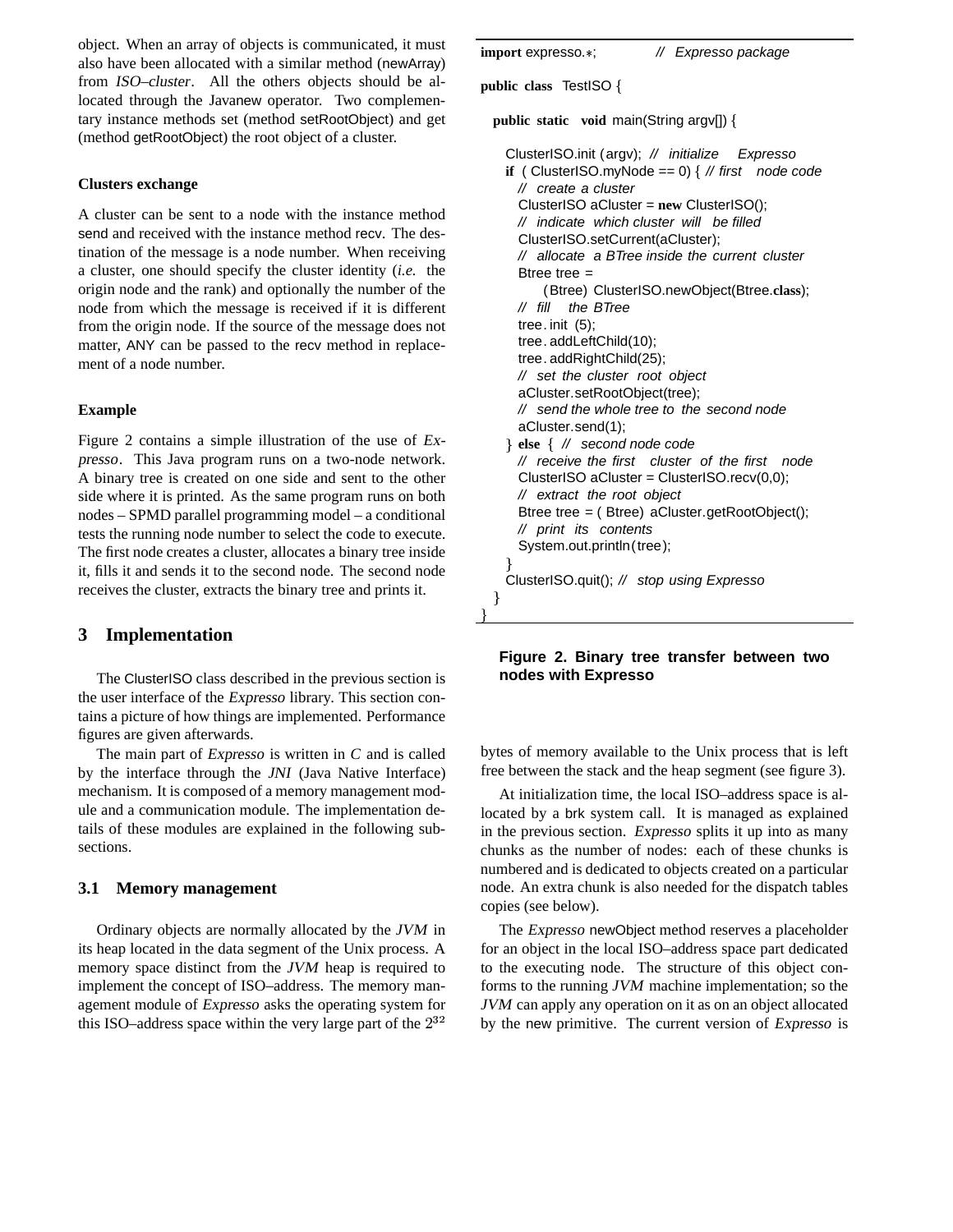object. When an array of objects is communicated, it must also have been allocated with a similar method (newArray) from ISO–cluster. All the others objects should be allocated through the Javanew operator. Two complementary instance methods set (method setRootObject) and get (method getRootObject) the root object of a cluster.

## **Clusters exchange**

A cluster can be sent to a node with the instance method send and received with the instance method recv. The destination of the message is a node number. When receiving a cluster, one should specify the cluster identity (*i.e.* the origin node and the rank) and optionally the number of the node from which the message is received if it is different from the origin node. If the source of the message does not matter, ANY can be passed to the recv method in replacement of a node number.

## **Example**

Figure 2 contains a simple illustration of the use of Expresso. This Java program runs on a two-node network. A binary tree is created on one side and sent to the other side where it is printed. As the same program runs on both nodes – SPMD parallel programming model – a conditional tests the running node number to select the code to execute. The first node creates a cluster, allocates a binary tree inside it, fills it and sends it to the second node. The second node receives the cluster, extracts the binary tree and prints it.

# **3 Implementation**

The ClusterISO class described in the previous section is the user interface of the Expresso library. This section contains a picture of how things are implemented. Performance figures are given afterwards.

The main part of Expresso is written in <sup>C</sup> and is called by the interface through the JNI (Java Native Interface) mechanism. It is composed of a memory management module and a communication module. The implementation details of these modules are explained in the following subsections.

# **3.1 Memory management**

Ordinary objects are normally allocated by the JVM in its heap located in the data segment of the Unix process. A memory space distinct from the JVM heap is required to implement the concept of ISO–address. The memory management module of Expresso asks the operating system for this ISO–address space within the very large part of the  $2^{32}$ 

**import** expresso.\*; // Expresso package **public class** TestISO **public static void** main(String argv[]) ClusterISO.init (argv); // initialize Expresso **if** ( ClusterISO.myNode == 0) { // first node code // create a cluster ClusterISO aCluster = **new** ClusterISO(); // indicate which cluster will be filled ClusterISO.setCurrent(aCluster); // allocate a BTree inside the current cluster Btree tree = (Btree) ClusterISO.newObject(Btree.**class**); // fill the BTree tree. init (5); tree. addLeftChild(10); tree. addRightChild(25); // set the cluster root object aCluster.setRootObject(tree); // send the whole tree to the second node aCluster.send(1); - **else** // second node code // receive the first cluster of the first node ClusterISO aCluster = ClusterISO.recv(0,0); // extract the root object Btree tree = ( Btree) aCluster.getRootObject(); // print its contents System.out.println(tree); ClusterISO.quit(); // stop using Expresso -

# **Figure 2. Binary tree transfer between two nodes with Expresso**

bytes of memory available to the Unix process that is left free between the stack and the heap segment (see figure 3).

At initialization time, the local ISO–address space is allocated by a brk system call. It is managed as explained in the previous section. Expresso splits it up into as many chunks as the number of nodes: each of these chunks is numbered and is dedicated to objects created on a particular node. An extra chunk is also needed for the dispatch tables copies (see below).

<sup>2</sup> by the new primitive. The current version of Expresso is The Expresso newObject method reserves a placeholder for an object in the local ISO–address space part dedicated to the executing node. The structure of this object conforms to the running JVM machine implementation; so the JVM can apply any operation on it as on an object allocated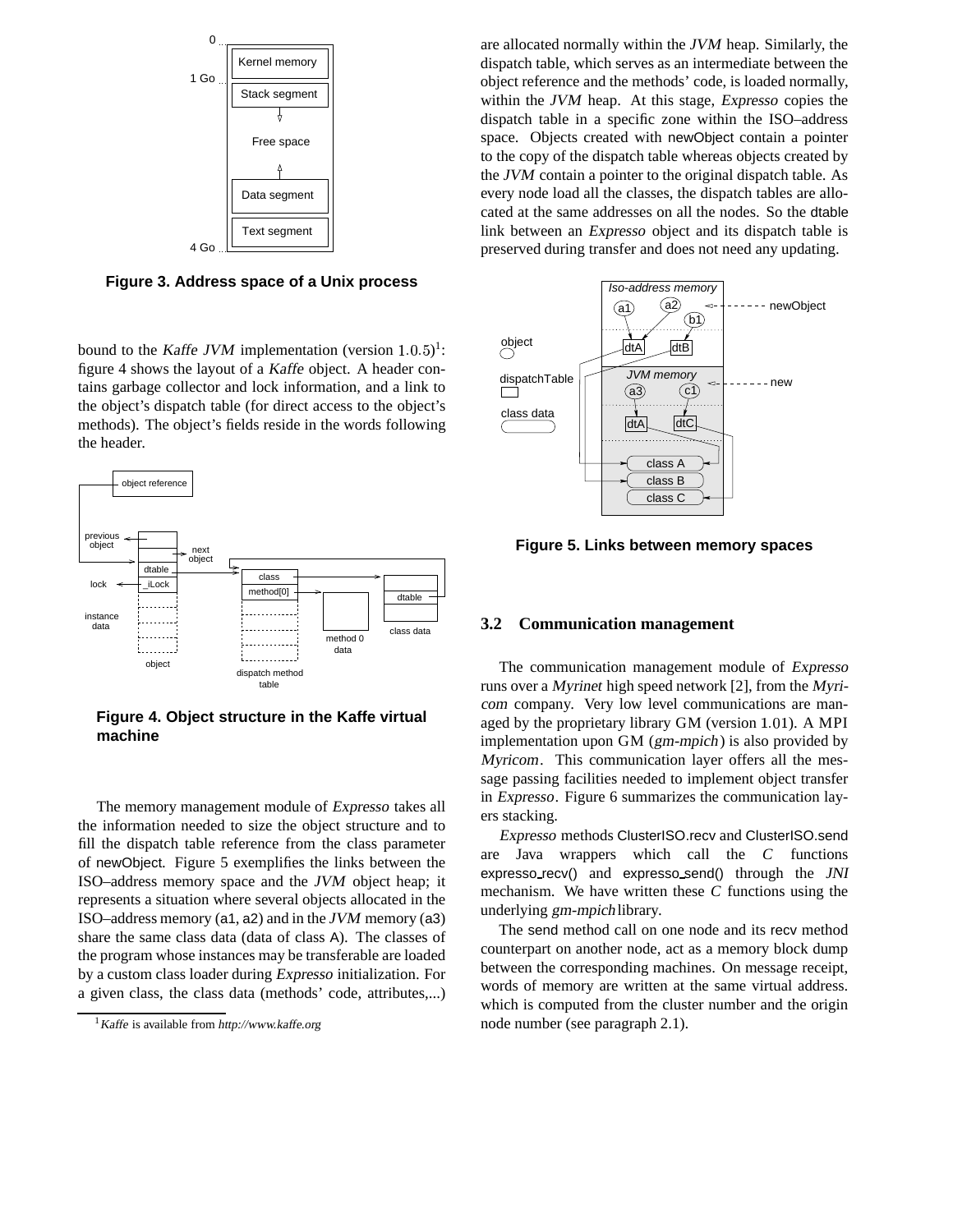

**Figure 3. Address space of a Unix process**

bound to the Kaffe JVM implementation (version  $1.0.5$ )<sup>1</sup>: figure 4 shows the layout of a Kaffe object. A header contains garbage collector and lock information, and a link to the object's dispatch table (for direct access to the object's methods). The object's fields reside in the words following the header.



**Figure 4. Object structure in the Kaffe virtual machine**

The memory management module of Expresso takes all the information needed to size the object structure and to fill the dispatch table reference from the class parameter of newObject. Figure 5 exemplifies the links between the ISO–address memory space and the JVM object heap; it represents a situation where several objects allocated in the ISO–address memory (a1, a2) and in the JVM memory (a3) share the same class data (data of class A). The classes of the program whose instances may be transferable are loaded by a custom class loader during Expresso initialization. For a given class, the class data (methods' code, attributes,...)

are allocated normally within the JVM heap. Similarly, the dispatch table, which serves as an intermediate between the object reference and the methods' code, is loaded normally, within the JVM heap. At this stage, Expresso copies the dispatch table in a specific zone within the ISO–address space. Objects created with newObject contain a pointer to the copy of the dispatch table whereas objects created by the JVM contain a pointer to the original dispatch table. As every node load all the classes, the dispatch tables are allocated at the same addresses on all the nodes. So the dtable link between an Expresso object and its dispatch table is preserved during transfer and does not need any updating.



**Figure 5. Links between memory spaces**

## **3.2 Communication management**

The communication management module of Expresso runs over a Myrinet high speed network [2], from the Myricom company. Very low level communications are managed by the proprietary library  $GM$  (version  $1.01$ ). A MPI implementation upon GM (gm-mpich) is also provided by Myricom. This communication layer offers all the message passing facilities needed to implement object transfer in Expresso. Figure 6 summarizes the communication layers stacking.

Expresso methods ClusterISO.recv and ClusterISO.send are Java wrappers which call the <sup>C</sup> functions expresso recv() and expresso send() through the JNI mechanism. We have written these <sup>C</sup> functions using the underlying gm-mpich library.

The send method call on one node and its recv method counterpart on another node, act as a memory block dump between the corresponding machines. On message receipt, words of memory are written at the same virtual address. which is computed from the cluster number and the origin node number (see paragraph 2.1).

 $1$ Kaffe is available from http://www.kaffe.org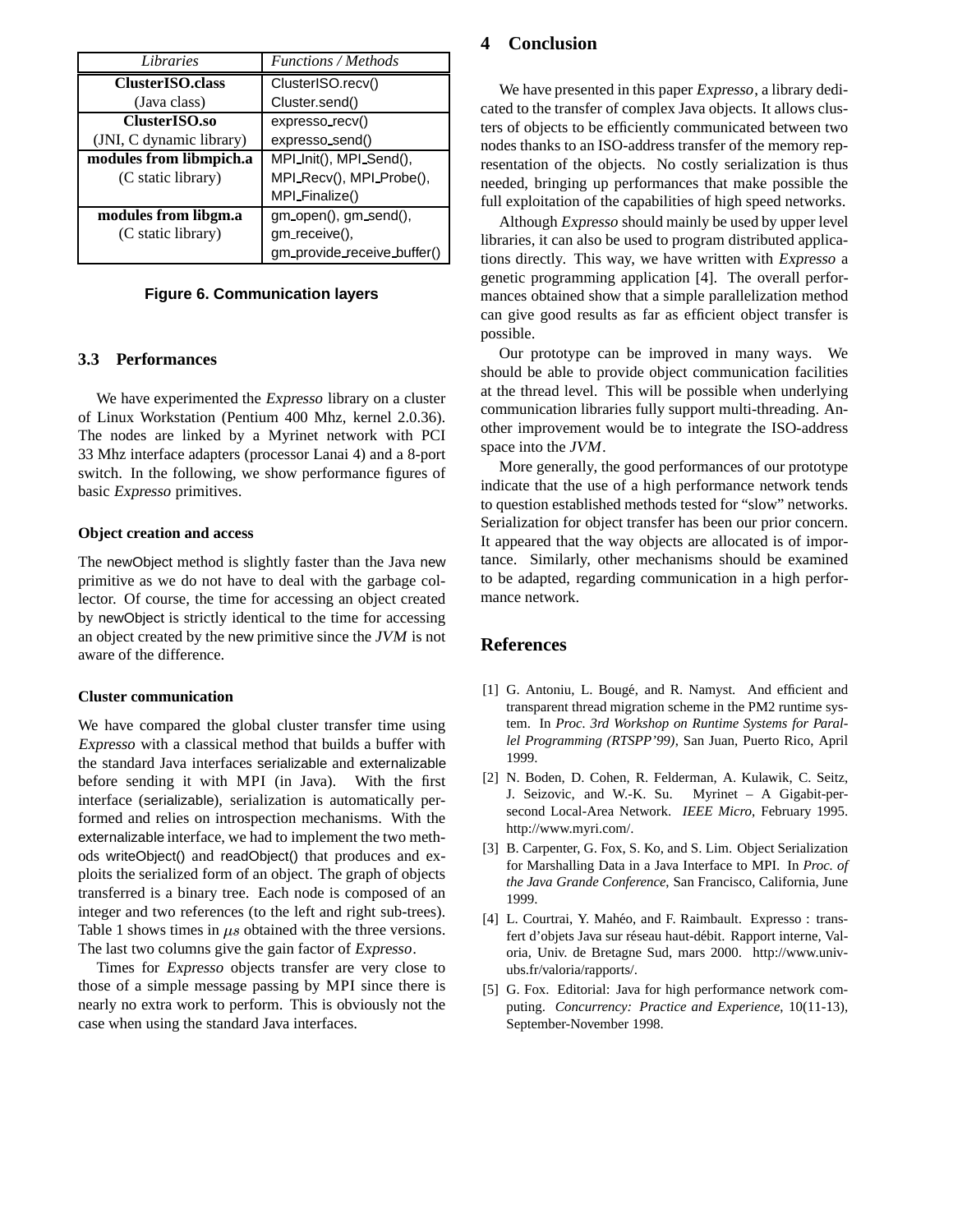| Libraries                | Functions / Methods         |  |  |
|--------------------------|-----------------------------|--|--|
| ClusterISO.class         | ClusterISO.recv()           |  |  |
| (Java class)             | Cluster.send()              |  |  |
| ClusterISO.so            | expresso_recv()             |  |  |
| (JNI, C dynamic library) | expresso_send()             |  |  |
| modules from libmpich.a  | MPI_Init(), MPI_Send(),     |  |  |
| (C static library)       | MPI_Recv(), MPI_Probe(),    |  |  |
|                          | MPI_Finalize()              |  |  |
| modules from libgm.a     | gm_open(), gm_send(),       |  |  |
| (C static library)       | gm_receive(),               |  |  |
|                          | gm_provide_receive_buffer() |  |  |

# **Figure 6. Communication layers**

#### **3.3 Performances**

We have experimented the Expresso library on a cluster of Linux Workstation (Pentium 400 Mhz, kernel 2.0.36). The nodes are linked by a Myrinet network with PCI 33 Mhz interface adapters (processor Lanai 4) and a 8-port switch. In the following, we show performance figures of basic Expresso primitives.

#### **Object creation and access**

The newObject method is slightly faster than the Java new primitive as we do not have to deal with the garbage collector. Of course, the time for accessing an object created by newObject is strictly identical to the time for accessing an object created by the new primitive since the JVM is not aware of the difference.

#### **Cluster communication**

We have compared the global cluster transfer time using Expresso with a classical method that builds a buffer with the standard Java interfaces serializable and externalizable before sending it with MPI (in Java). With the first interface (serializable), serialization is automatically performed and relies on introspection mechanisms. With the externalizable interface, we had to implement the two methods writeObject() and readObject() that produces and exploits the serialized form of an object. The graph of objects transferred is a binary tree. Each node is composed of an integer and two references (to the left and right sub-trees). Table 1 shows times in  $\mu s$  obtained with the three versions. The last two columns give the gain factor of Expresso.

Times for Expresso objects transfer are very close to those of a simple message passing by MPI since there is nearly no extra work to perform. This is obviously not the case when using the standard Java interfaces.

# **4 Conclusion**

We have presented in this paper *Expresso*, a library dedicated to the transfer of complex Java objects. It allows clusters of objects to be efficiently communicated between two nodes thanks to an ISO-address transfer of the memory representation of the objects. No costly serialization is thus needed, bringing up performances that make possible the full exploitation of the capabilities of high speed networks.

Although Expresso should mainly be used by upper level libraries, it can also be used to program distributed applications directly. This way, we have written with Expresso a genetic programming application [4]. The overall performances obtained show that a simple parallelization method can give good results as far as efficient object transfer is possible.

Our prototype can be improved in many ways. We should be able to provide object communication facilities at the thread level. This will be possible when underlying communication libraries fully support multi-threading. Another improvement would be to integrate the ISO-address space into the JVM.

More generally, the good performances of our prototype indicate that the use of a high performance network tends to question established methods tested for "slow" networks. Serialization for object transfer has been our prior concern. It appeared that the way objects are allocated is of importance. Similarly, other mechanisms should be examined to be adapted, regarding communication in a high performance network.

# **References**

- [1] G. Antoniu, L. Bougé, and R. Namyst. And efficient and transparent thread migration scheme in the PM2 runtime system. In *Proc. 3rd Workshop on Runtime Systems for Parallel Programming (RTSPP'99)*, San Juan, Puerto Rico, April 1999.
- [2] N. Boden, D. Cohen, R. Felderman, A. Kulawik, C. Seitz, J. Seizovic, and W.-K. Su. Myrinet – A Gigabit-persecond Local-Area Network. *IEEE Micro*, February 1995. http://www.myri.com/.
- [3] B. Carpenter, G. Fox, S. Ko, and S. Lim. Object Serialization for Marshalling Data in a Java Interface to MPI. In *Proc. of the Java Grande Conference*, San Francisco, California, June 1999.
- [4] L. Courtrai, Y. Mahéo, and F. Raimbault. Expresso : transfert d'objets Java sur réseau haut-débit. Rapport interne, Valoria, Univ. de Bretagne Sud, mars 2000. http://www.univubs.fr/valoria/rapports/.
- [5] G. Fox. Editorial: Java for high performance network computing. *Concurrency: Practice and Experience*, 10(11-13), September-November 1998.